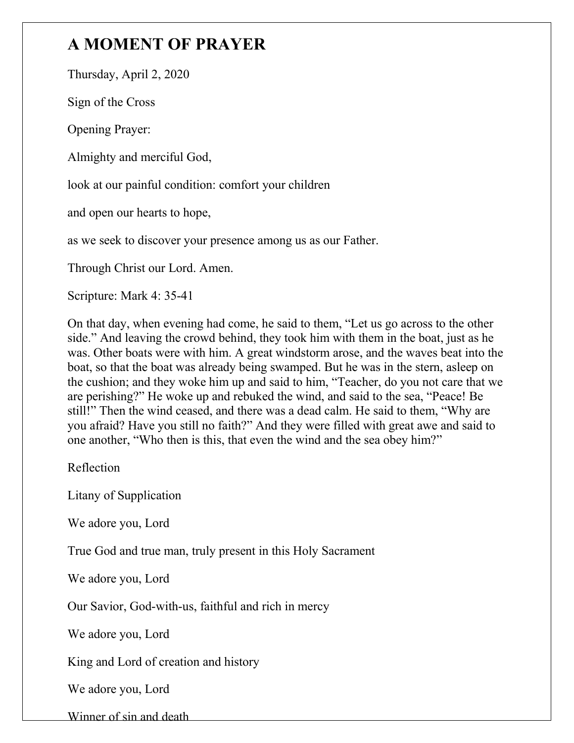## **A MOMENT OF PRAYER**

Thursday, April 2, 2020

Sign of the Cross

Opening Prayer:

Almighty and merciful God,

look at our painful condition: comfort your children

and open our hearts to hope,

as we seek to discover your presence among us as our Father.

Through Christ our Lord. Amen.

Scripture: Mark 4: 35-41

On that day, when evening had come, he said to them, "Let us go across to the other side." And leaving the crowd behind, they took him with them in the boat, just as he was. Other boats were with him. A great windstorm arose, and the waves beat into the boat, so that the boat was already being swamped. But he was in the stern, asleep on the cushion; and they woke him up and said to him, "Teacher, do you not care that we are perishing?" He woke up and rebuked the wind, and said to the sea, "Peace! Be still!" Then the wind ceased, and there was a dead calm. He said to them, "Why are you afraid? Have you still no faith?" And they were filled with great awe and said to one another, "Who then is this, that even the wind and the sea obey him?"

Reflection

Litany of Supplication

We adore you, Lord

True God and true man, truly present in this Holy Sacrament

We adore you, Lord

Our Savior, God-with-us, faithful and rich in mercy

We adore you, Lord

King and Lord of creation and history

We adore you, Lord

Winner of sin and death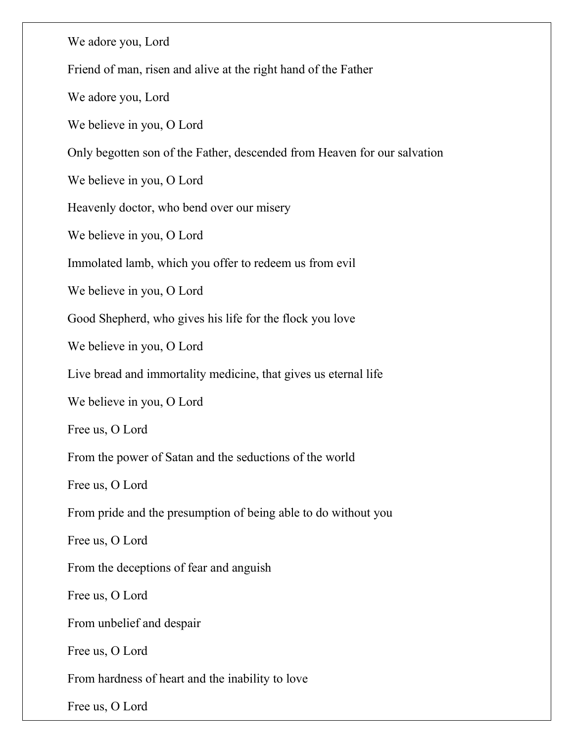We adore you, Lord Friend of man, risen and alive at the right hand of the Father We adore you, Lord We believe in you, O Lord Only begotten son of the Father, descended from Heaven for our salvation We believe in you, O Lord Heavenly doctor, who bend over our misery We believe in you, O Lord Immolated lamb, which you offer to redeem us from evil We believe in you, O Lord Good Shepherd, who gives his life for the flock you love We believe in you, O Lord Live bread and immortality medicine, that gives us eternal life We believe in you, O Lord Free us, O Lord From the power of Satan and the seductions of the world Free us, O Lord From pride and the presumption of being able to do without you Free us, O Lord From the deceptions of fear and anguish Free us, O Lord From unbelief and despair Free us, O Lord From hardness of heart and the inability to love Free us, O Lord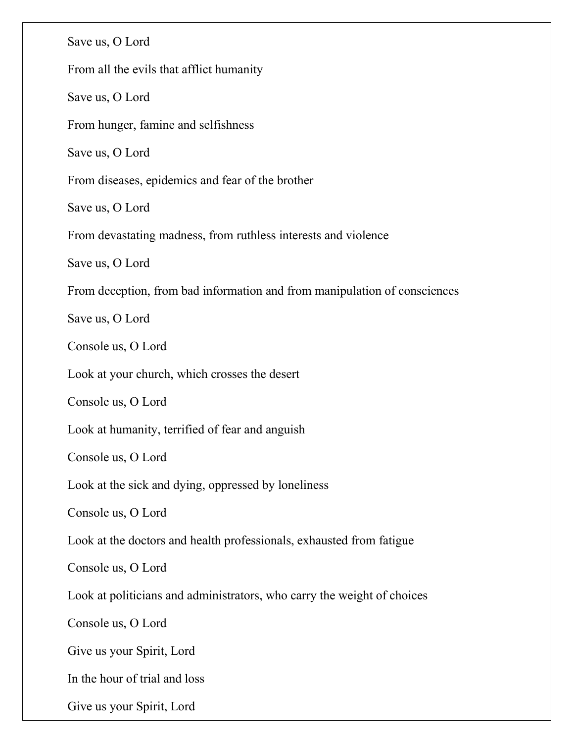Save us, O Lord From all the evils that afflict humanity Save us, O Lord From hunger, famine and selfishness Save us, O Lord From diseases, epidemics and fear of the brother Save us, O Lord From devastating madness, from ruthless interests and violence Save us, O Lord From deception, from bad information and from manipulation of consciences Save us, O Lord Console us, O Lord Look at your church, which crosses the desert Console us, O Lord Look at humanity, terrified of fear and anguish Console us, O Lord Look at the sick and dying, oppressed by loneliness Console us, O Lord Look at the doctors and health professionals, exhausted from fatigue Console us, O Lord Look at politicians and administrators, who carry the weight of choices Console us, O Lord Give us your Spirit, Lord In the hour of trial and loss Give us your Spirit, Lord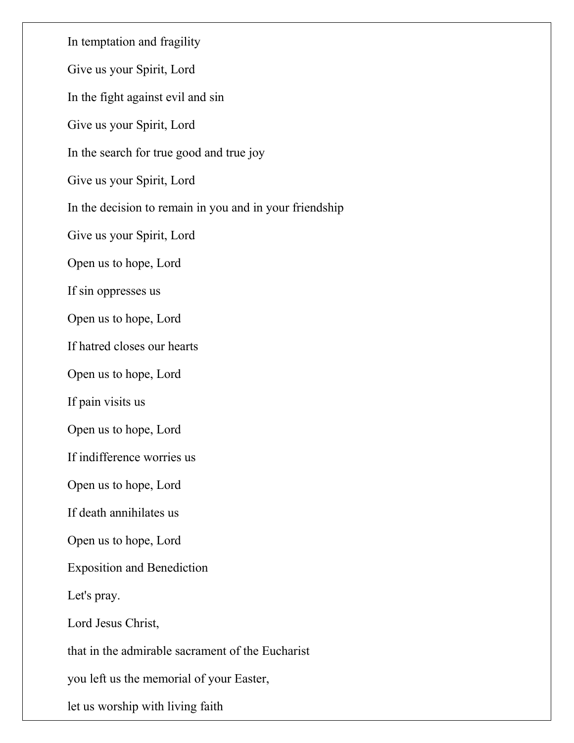In temptation and fragility Give us your Spirit, Lord In the fight against evil and sin Give us your Spirit, Lord In the search for true good and true joy Give us your Spirit, Lord In the decision to remain in you and in your friendship Give us your Spirit, Lord Open us to hope, Lord If sin oppresses us Open us to hope, Lord If hatred closes our hearts Open us to hope, Lord If pain visits us Open us to hope, Lord If indifference worries us Open us to hope, Lord If death annihilates us Open us to hope, Lord Exposition and Benediction Let's pray. Lord Jesus Christ, that in the admirable sacrament of the Eucharist you left us the memorial of your Easter, let us worship with living faith